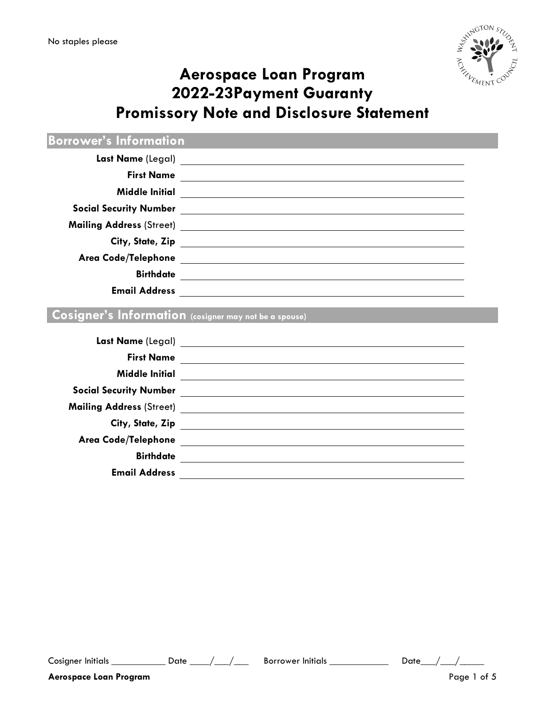

# **Aerospace Loan Program 2022-23Payment Guaranty Promissory Note and Disclosure Statement**

**Borrower's Information**

| <b>First Name</b>               |                                                              |
|---------------------------------|--------------------------------------------------------------|
|                                 |                                                              |
| <b>Social Security Number</b>   | <u> 1989 - Andrea Barbara, politikar politikar (h. 1989)</u> |
| <b>Mailing Address (Street)</b> |                                                              |
|                                 | City, State, Zip                                             |
|                                 |                                                              |
| <b>Birthdate</b>                |                                                              |
| <b>Email Address</b>            |                                                              |

## **Cosigner's Information (cosigner may not be a spouse)**

| Last Name (Legal)             |                                                                                                                       |
|-------------------------------|-----------------------------------------------------------------------------------------------------------------------|
| <b>First Name</b>             |                                                                                                                       |
| <b>Middle Initial</b>         |                                                                                                                       |
| <b>Social Security Number</b> | <u> 1989 - Andrea Andrew Maria (h. 1989).</u>                                                                         |
|                               |                                                                                                                       |
| City, State, Zip              |                                                                                                                       |
| Area Code/Telephone           | <u> Territoria de la contenentación de la contenecidad de la contenecidad de la contenecidad de la contenecidad d</u> |
| <b>Birthdate</b>              |                                                                                                                       |
| <b>Email Address</b>          |                                                                                                                       |
|                               |                                                                                                                       |

Cosigner Initials \_\_\_\_\_\_\_\_\_\_\_\_\_\_ Date \_\_\_\_/\_\_\_/\_\_\_\_\_ Borrower Initials \_\_\_\_\_\_\_\_\_\_\_\_\_\_\_\_ Date \_\_\_/\_\_\_/\_\_\_\_\_\_\_\_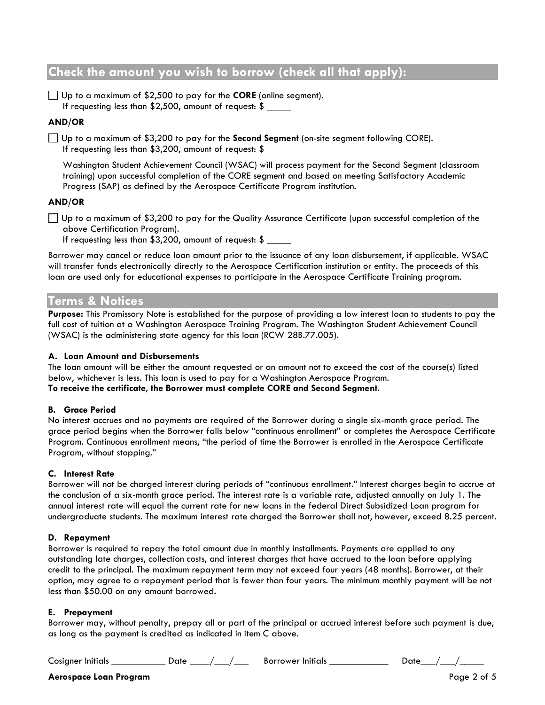## **Check the amount you wish to borrow (check all that apply):**

Up to a maximum of \$2,500 to pay for the **CORE** (online segment). If requesting less than \$2,500, amount of request: \$

#### **AND/OR**

Up to a maximum of \$3,200 to pay for the **Second Segment** (on-site segment following CORE). If requesting less than \$3,200, amount of request: \$

Washington Student Achievement Council (WSAC) will process payment for the Second Segment (classroom training) upon successful completion of the CORE segment and based on meeting Satisfactory Academic Progress (SAP) as defined by the Aerospace Certificate Program institution.

#### **AND/OR**

 $\Box$  Up to a maximum of \$3,200 to pay for the Quality Assurance Certificate (upon successful completion of the above Certification Program).

If requesting less than \$3,200, amount of request: \$

Borrower may cancel or reduce loan amount prior to the issuance of any loan disbursement, if applicable. WSAC will transfer funds electronically directly to the Aerospace Certification institution or entity. The proceeds of this loan are used only for educational expenses to participate in the Aerospace Certificate Training program.

## **Terms & Notices**

**Purpose:** This Promissory Note is established for the purpose of providing a low interest loan to students to pay the full cost of tuition at a Washington Aerospace Training Program. The Washington Student Achievement Council (WSAC) is the administering state agency for this loan (RCW 28B.77.005).

#### **A. Loan Amount and Disbursements**

The loan amount will be either the amount requested or an amount not to exceed the cost of the course(s) listed below, whichever is less. This loan is used to pay for a Washington Aerospace Program. **To receive the certificate, the Borrower must complete CORE and Second Segment.**

#### **B. Grace Period**

No interest accrues and no payments are required of the Borrower during a single six-month grace period. The grace period begins when the Borrower falls below "continuous enrollment" or completes the Aerospace Certificate Program. Continuous enrollment means, "the period of time the Borrower is enrolled in the Aerospace Certificate Program, without stopping."

#### **C. Interest Rate**

Borrower will not be charged interest during periods of "continuous enrollment." Interest charges begin to accrue at the conclusion of a six-month grace period. The interest rate is a variable rate, adjusted annually on July 1. The annual interest rate will equal the current rate for new loans in the federal Direct Subsidized Loan program for undergraduate students. The maximum interest rate charged the Borrower shall not, however, exceed 8.25 percent.

#### **D. Repayment**

Borrower is required to repay the total amount due in monthly installments. Payments are applied to any outstanding late charges, collection costs, and interest charges that have accrued to the loan before applying credit to the principal. The maximum repayment term may not exceed four years (48 months). Borrower, at their option, may agree to a repayment period that is fewer than four years. The minimum monthly payment will be not less than \$50.00 on any amount borrowed.

#### **E. Prepayment**

Borrower may, without penalty, prepay all or part of the principal or accrued interest before such payment is due, as long as the payment is credited as indicated in item C above.

Cosigner Initials \_\_\_\_\_\_\_\_\_\_\_\_\_\_ Date \_\_\_\_/\_\_\_/\_\_\_\_\_ Borrower Initials \_\_\_\_\_\_\_\_\_\_\_\_\_\_\_ Date \_\_\_/\_\_\_/\_\_\_\_\_\_

#### **Aerospace Loan Program** Page 2 of 5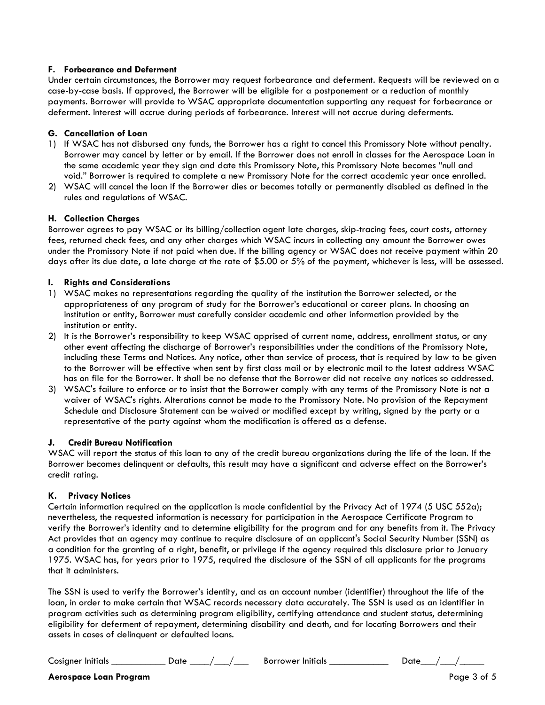#### **F. Forbearance and Deferment**

Under certain circumstances, the Borrower may request forbearance and deferment. Requests will be reviewed on a case-by-case basis. If approved, the Borrower will be eligible for a postponement or a reduction of monthly payments. Borrower will provide to WSAC appropriate documentation supporting any request for forbearance or deferment. Interest will accrue during periods of forbearance. Interest will not accrue during deferments.

#### **G. Cancellation of Loan**

- 1) If WSAC has not disbursed any funds, the Borrower has a right to cancel this Promissory Note without penalty. Borrower may cancel by letter or by email. If the Borrower does not enroll in classes for the Aerospace Loan in the same academic year they sign and date this Promissory Note, this Promissory Note becomes "null and void." Borrower is required to complete a new Promissory Note for the correct academic year once enrolled.
- 2) WSAC will cancel the loan if the Borrower dies or becomes totally or permanently disabled as defined in the rules and regulations of WSAC.

#### **H. Collection Charges**

Borrower agrees to pay WSAC or its billing/collection agent late charges, skip-tracing fees, court costs, attorney fees, returned check fees, and any other charges which WSAC incurs in collecting any amount the Borrower owes under the Promissory Note if not paid when due. If the billing agency or WSAC does not receive payment within 20 days after its due date, a late charge at the rate of \$5.00 or 5% of the payment, whichever is less, will be assessed.

#### **I. Rights and Considerations**

- 1) WSAC makes no representations regarding the quality of the institution the Borrower selected, or the appropriateness of any program of study for the Borrower's educational or career plans. In choosing an institution or entity, Borrower must carefully consider academic and other information provided by the institution or entity.
- 2) It is the Borrower's responsibility to keep WSAC apprised of current name, address, enrollment status, or any other event affecting the discharge of Borrower's responsibilities under the conditions of the Promissory Note, including these Terms and Notices. Any notice, other than service of process, that is required by law to be given to the Borrower will be effective when sent by first class mail or by electronic mail to the latest address WSAC has on file for the Borrower. It shall be no defense that the Borrower did not receive any notices so addressed.
- 3) WSAC's failure to enforce or to insist that the Borrower comply with any terms of the Promissory Note is not a waiver of WSAC's rights. Alterations cannot be made to the Promissory Note. No provision of the Repayment Schedule and Disclosure Statement can be waived or modified except by writing, signed by the party or a representative of the party against whom the modification is offered as a defense.

#### **J. Credit Bureau Notification**

WSAC will report the status of this loan to any of the credit bureau organizations during the life of the loan. If the Borrower becomes delinquent or defaults, this result may have a significant and adverse effect on the Borrower's credit rating.

#### **K. Privacy Notices**

Certain information required on the application is made confidential by the Privacy Act of 1974 (5 USC 552a); nevertheless, the requested information is necessary for participation in the Aerospace Certificate Program to verify the Borrower's identity and to determine eligibility for the program and for any benefits from it. The Privacy Act provides that an agency may continue to require disclosure of an applicant's Social Security Number (SSN) as a condition for the granting of a right, benefit, or privilege if the agency required this disclosure prior to January 1975. WSAC has, for years prior to 1975, required the disclosure of the SSN of all applicants for the programs that it administers.

The SSN is used to verify the Borrower's identity, and as an account number (identifier) throughout the life of the loan, in order to make certain that WSAC records necessary data accurately. The SSN is used as an identifier in program activities such as determining program eligibility, certifying attendance and student status, determining eligibility for deferment of repayment, determining disability and death, and for locating Borrowers and their assets in cases of delinquent or defaulted loans.

Cosigner Initials \_\_\_\_\_\_\_\_\_\_\_\_\_\_ Date \_\_\_\_/ \_\_\_/ \_\_\_\_ Borrower Initials \_\_\_\_\_\_\_\_\_\_\_\_\_\_\_ Date \_\_\_/ \_\_\_/ \_\_\_\_\_\_

#### **Aerospace Loan Program** Page 3 of 5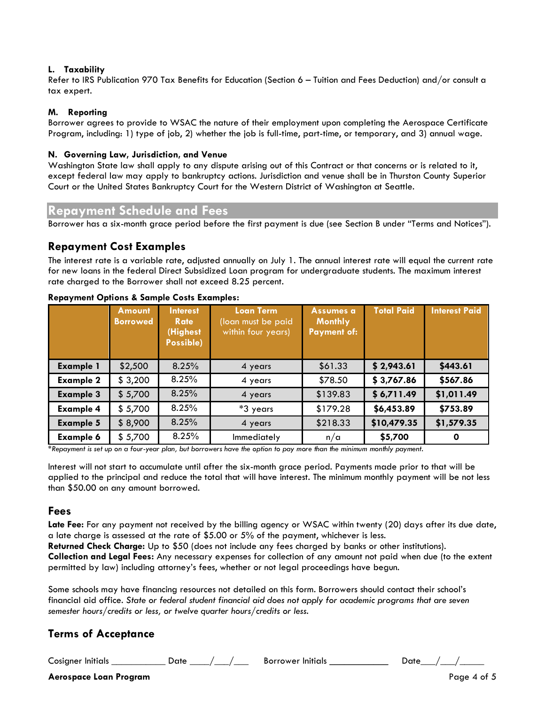#### **L. Taxability**

Refer to IRS Publication 970 Tax Benefits for Education (Section 6 – Tuition and Fees Deduction) and/or consult a tax expert.

#### **M. Reporting**

Borrower agrees to provide to WSAC the nature of their employment upon completing the Aerospace Certificate Program, including: 1) type of job, 2) whether the job is full-time, part-time, or temporary, and 3) annual wage.

#### **N. Governing Law, Jurisdiction, and Venue**

Washington State law shall apply to any dispute arising out of this Contract or that concerns or is related to it, except federal law may apply to bankruptcy actions. Jurisdiction and venue shall be in Thurston County Superior Court or the United States Bankruptcy Court for the Western District of Washington at Seattle.

#### **Repayment Schedule and Fees**

Borrower has a six-month grace period before the first payment is due (see Section B under "Terms and Notices").

#### **Repayment Cost Examples**

The interest rate is a variable rate, adjusted annually on July 1. The annual interest rate will equal the current rate for new loans in the federal Direct Subsidized Loan program for undergraduate students. The maximum interest rate charged to the Borrower shall not exceed 8.25 percent.

|                  | <b>Amount</b><br><b>Borrowed</b> | <b>Interest</b><br><b>Rate</b><br>(Highest<br>Possible) | <b>Loan Term</b><br>(loan must be paid<br>within four years) | <b>Assumes a</b><br><b>Monthly</b><br><b>Payment of:</b> | <b>Total Paid</b> | <b>Interest Paid</b> |
|------------------|----------------------------------|---------------------------------------------------------|--------------------------------------------------------------|----------------------------------------------------------|-------------------|----------------------|
| <b>Example 1</b> | \$2,500                          | 8.25%                                                   | 4 years                                                      | \$61.33                                                  | \$2,943.61        | \$443.61             |
| <b>Example 2</b> | \$3,200                          | 8.25%                                                   | 4 years                                                      | \$78.50                                                  | \$3,767.86        | \$567.86             |
| <b>Example 3</b> | \$5,700                          | 8.25%                                                   | 4 years                                                      | \$139.83                                                 | \$6,711.49        | \$1,011.49           |
| <b>Example 4</b> | \$5,700                          | 8.25%                                                   | *3 years                                                     | \$179.28                                                 | \$6,453.89        | \$753.89             |
| <b>Example 5</b> | \$8,900                          | 8.25%                                                   | 4 years                                                      | \$218.33                                                 | \$10,479.35       | \$1,579.35           |
| <b>Example 6</b> | \$5,700                          | 8.25%                                                   | Immediately                                                  | n/a                                                      | \$5,700           | O                    |

#### **Repayment Options & Sample Costs Examples:**

*\*Repayment is set up on a four-year plan, but borrowers have the option to pay more than the minimum monthly payment.* 

Interest will not start to accumulate until after the six-month grace period. Payments made prior to that will be applied to the principal and reduce the total that will have interest. The minimum monthly payment will be not less than \$50.00 on any amount borrowed.

#### **Fees**

Late Fee: For any payment not received by the billing agency or WSAC within twenty (20) days after its due date, a late charge is assessed at the rate of \$5.00 or 5% of the payment, whichever is less.

**Returned Check Charge:** Up to \$50 (does not include any fees charged by banks or other institutions).

**Collection and Legal Fees:** Any necessary expenses for collection of any amount not paid when due (to the extent permitted by law) including attorney's fees, whether or not legal proceedings have begun.

Some schools may have financing resources not detailed on this form. Borrowers should contact their school's financial aid office. *State or federal student financial aid does not apply for academic programs that are seven semester hours/credits or less, or twelve quarter hours/credits or less.* 

### **Terms of Acceptance**

Cosigner Initials \_\_\_\_\_\_\_\_\_\_\_\_\_\_ Date \_\_\_\_/\_\_\_/\_\_\_\_\_ Borrower Initials \_\_\_\_\_\_\_\_\_\_\_\_\_\_\_ Date \_\_\_/\_\_\_/\_\_\_\_\_\_

**Aerospace Loan Program** Page 4 of 5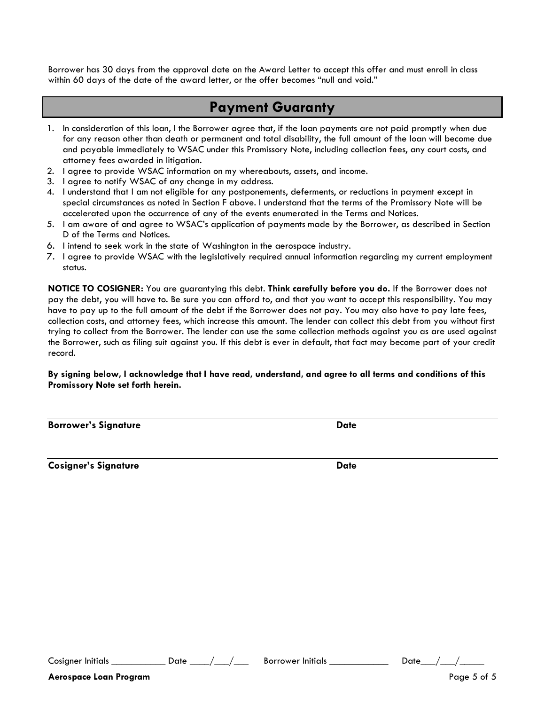Borrower has 30 days from the approval date on the Award Letter to accept this offer and must enroll in class within 60 days of the date of the award letter, or the offer becomes "null and void."

## **Payment Guaranty**

- 1. In consideration of this loan, I the Borrower agree that, if the loan payments are not paid promptly when due for any reason other than death or permanent and total disability, the full amount of the loan will become due and payable immediately to WSAC under this Promissory Note, including collection fees, any court costs, and attorney fees awarded in litigation.
- 2. I agree to provide WSAC information on my whereabouts, assets, and income.
- 3. I agree to notify WSAC of any change in my address.
- 4. I understand that I am not eligible for any postponements, deferments, or reductions in payment except in special circumstances as noted in Section F above. I understand that the terms of the Promissory Note will be accelerated upon the occurrence of any of the events enumerated in the Terms and Notices.
- 5. I am aware of and agree to WSAC's application of payments made by the Borrower, as described in Section D of the Terms and Notices.
- 6. I intend to seek work in the state of Washington in the aerospace industry.
- 7. I agree to provide WSAC with the legislatively required annual information regarding my current employment status.

**NOTICE TO COSIGNER:** You are guarantying this debt. **Think carefully before you do.** If the Borrower does not pay the debt, you will have to. Be sure you can afford to, and that you want to accept this responsibility. You may have to pay up to the full amount of the debt if the Borrower does not pay. You may also have to pay late fees, collection costs, and attorney fees, which increase this amount. The lender can collect this debt from you without first trying to collect from the Borrower. The lender can use the same collection methods against you as are used against the Borrower, such as filing suit against you. If this debt is ever in default, that fact may become part of your credit record.

#### **By signing below, I acknowledge that I have read, understand, and agree to all terms and conditions of this Promissory Note set forth herein.**

| <b>Borrower's Signature</b> | <b>Date</b> |
|-----------------------------|-------------|
|                             |             |

**Cosigner's Signature Date** 

Cosigner Initials \_\_\_\_\_\_\_\_\_\_\_\_\_ Date \_\_\_\_/\_\_\_/\_\_\_\_\_ Borrower Initials \_\_\_\_\_\_\_\_\_\_\_\_ Date \_\_\_/\_\_\_/\_\_\_\_\_

**Aerospace Loan Program** Page 5 of 5 and 2008 **Page 5 of 5**